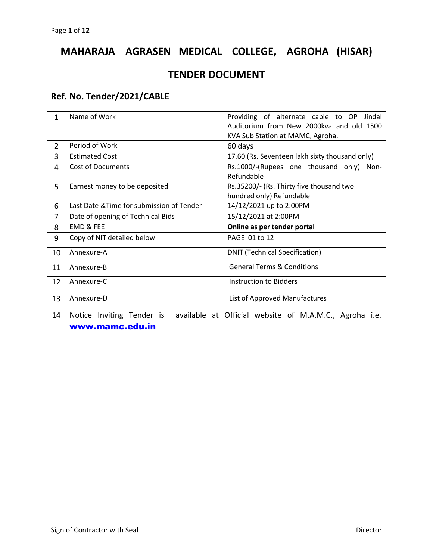# **MAHARAJA AGRASEN MEDICAL COLLEGE, AGROHA (HISAR)**

## **TENDER DOCUMENT**

## **Ref. No. Tender/2021/CABLE**

| 1              | Name of Work                              | Providing of alternate cable to OP<br>Jindal           |
|----------------|-------------------------------------------|--------------------------------------------------------|
|                |                                           | Auditorium from New 2000kva and old 1500               |
|                |                                           | KVA Sub Station at MAMC, Agroha.                       |
| $\overline{2}$ | Period of Work                            | 60 days                                                |
| 3              | <b>Estimated Cost</b>                     | 17.60 (Rs. Seventeen lakh sixty thousand only)         |
| 4              | <b>Cost of Documents</b>                  | Rs.1000/-(Rupees one thousand only) Non-               |
|                |                                           | Refundable                                             |
| 5              | Earnest money to be deposited             | Rs.35200/- (Rs. Thirty five thousand two               |
|                |                                           | hundred only) Refundable                               |
| 6              | Last Date & Time for submission of Tender | 14/12/2021 up to 2:00PM                                |
| 7              | Date of opening of Technical Bids         | 15/12/2021 at 2:00PM                                   |
| 8              | <b>EMD &amp; FEE</b>                      | Online as per tender portal                            |
| 9              | Copy of NIT detailed below                | PAGE 01 to 12                                          |
| 10             | Annexure-A                                | <b>DNIT (Technical Specification)</b>                  |
| 11             | Annexure-B                                | <b>General Terms &amp; Conditions</b>                  |
| 12             | Annexure-C                                | Instruction to Bidders                                 |
| 13             | Annexure-D                                | List of Approved Manufactures                          |
| 14             | Notice Inviting Tender is                 | available at Official website of M.A.M.C., Agroha i.e. |
|                | www.mamc.edu.in                           |                                                        |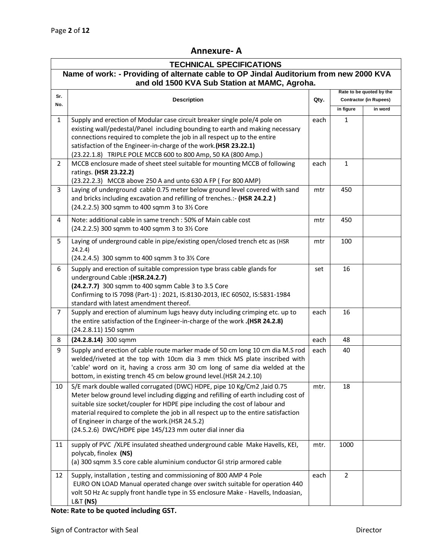## **Annexure- A**

| <b>TECHNICAL SPECIFICATIONS</b>                                                        |                                                                                                                                                                                                                                                                                                                                                                                                                                                   |      |                                                           |         |  |  |
|----------------------------------------------------------------------------------------|---------------------------------------------------------------------------------------------------------------------------------------------------------------------------------------------------------------------------------------------------------------------------------------------------------------------------------------------------------------------------------------------------------------------------------------------------|------|-----------------------------------------------------------|---------|--|--|
| Name of work: - Providing of alternate cable to OP Jindal Auditorium from new 2000 KVA |                                                                                                                                                                                                                                                                                                                                                                                                                                                   |      |                                                           |         |  |  |
| and old 1500 KVA Sub Station at MAMC, Agroha.                                          |                                                                                                                                                                                                                                                                                                                                                                                                                                                   |      |                                                           |         |  |  |
| Sr.                                                                                    | <b>Description</b>                                                                                                                                                                                                                                                                                                                                                                                                                                | Qty. | Rate to be quoted by the<br><b>Contractor (in Rupees)</b> |         |  |  |
| No.                                                                                    |                                                                                                                                                                                                                                                                                                                                                                                                                                                   |      | in figure                                                 | in word |  |  |
| $\mathbf{1}$                                                                           | Supply and erection of Modular case circuit breaker single pole/4 pole on<br>existing wall/pedestal/Panel including bounding to earth and making necessary<br>connections required to complete the job in all respect up to the entire<br>satisfaction of the Engineer-in-charge of the work. (HSR 23.22.1)<br>(23.22.1.8) TRIPLE POLE MCCB 600 to 800 Amp, 50 KA (800 Amp.)                                                                      | each | 1                                                         |         |  |  |
| $\overline{2}$                                                                         | MCCB enclosure made of sheet steel suitable for mounting MCCB of following<br>ratings. (HSR 23.22.2)<br>(23.22.2.3) MCCB above 250 A and unto 630 A FP (For 800 AMP)                                                                                                                                                                                                                                                                              | each | 1                                                         |         |  |  |
| 3                                                                                      | Laying of underground cable 0.75 meter below ground level covered with sand<br>and bricks including excavation and refilling of trenches.:- (HSR 24.2.2)<br>(24.2.2.5) 300 sqmm to 400 sqmm 3 to 31/2 Core                                                                                                                                                                                                                                        | mtr  | 450                                                       |         |  |  |
| 4                                                                                      | Note: additional cable in same trench : 50% of Main cable cost<br>(24.2.2.5) 300 sqmm to 400 sqmm 3 to 31/2 Core                                                                                                                                                                                                                                                                                                                                  | mtr  | 450                                                       |         |  |  |
| 5                                                                                      | Laying of underground cable in pipe/existing open/closed trench etc as (HSR<br>24.2.4)<br>(24.2.4.5) 300 sqmm to 400 sqmm 3 to 3½ Core                                                                                                                                                                                                                                                                                                            | mtr  | 100                                                       |         |  |  |
| 6                                                                                      | Supply and erection of suitable compression type brass cable glands for<br>underground Cable: (HSR.24.2.7)<br>(24.2.7.7) 300 sqmm to 400 sqmm Cable 3 to 3.5 Core<br>Confirming to IS 7098 (Part-1): 2021, IS:8130-2013, IEC 60502, IS:5831-1984<br>standard with latest amendment thereof.                                                                                                                                                       | set  | 16                                                        |         |  |  |
| $\overline{7}$                                                                         | Supply and erection of aluminum lugs heavy duty including crimping etc. up to<br>the entire satisfaction of the Engineer-in-charge of the work .(HSR 24.2.8)<br>(24.2.8.11) 150 sqmm                                                                                                                                                                                                                                                              | each | 16                                                        |         |  |  |
| 8                                                                                      | $(24.2.8.14)$ 300 sqmm                                                                                                                                                                                                                                                                                                                                                                                                                            | each | 48                                                        |         |  |  |
| 9                                                                                      | Supply and erection of cable route marker made of 50 cm long 10 cm dia M.S rod<br>welded/riveted at the top with 10cm dia 3 mm thick MS plate inscribed with<br>'cable' word on it, having a cross arm 30 cm long of same dia welded at the<br>bottom, in existing trench 45 cm below ground level.(HSR 24.2.10)                                                                                                                                  | each | 40                                                        |         |  |  |
| 10                                                                                     | S/E mark double walled corrugated (DWC) HDPE, pipe 10 Kg/Cm2, laid 0.75<br>Meter below ground level including digging and refilling of earth including cost of<br>suitable size socket/coupler for HDPE pipe including the cost of labour and<br>material required to complete the job in all respect up to the entire satisfaction<br>of Engineer in charge of the work.(HSR 24.5.2)<br>(24.5.2.6) DWC/HDPE pipe 145/123 mm outer dial inner dia | mtr. | 18                                                        |         |  |  |
| 11                                                                                     | supply of PVC /XLPE insulated sheathed underground cable Make Havells, KEI,<br>polycab, finolex (NS)<br>(a) 300 sqmm 3.5 core cable aluminium conductor GI strip armored cable                                                                                                                                                                                                                                                                    | mtr. | 1000                                                      |         |  |  |
| 12                                                                                     | Supply, installation, testing and commissioning of 800 AMP 4 Pole<br>EURO ON LOAD Manual operated change over switch suitable for operation 440<br>volt 50 Hz Ac supply front handle type in SS enclosure Make - Havells, Indoasian,<br><b>L&amp;T (NS)</b>                                                                                                                                                                                       | each | $\overline{2}$                                            |         |  |  |

**Note: Rate to be quoted including GST.**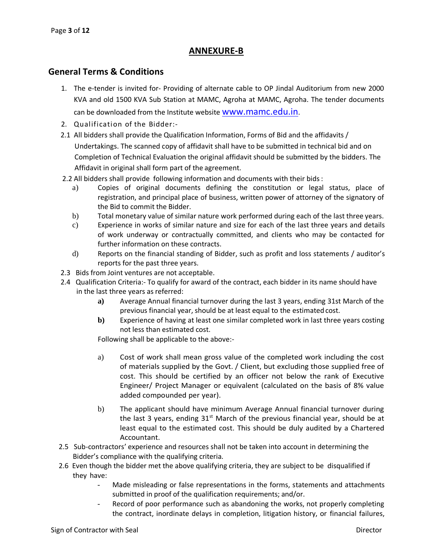### **ANNEXURE-B**

#### **General Terms & Conditions**

- 1. The e-tender is invited for- Providing of alternate cable to OP Jindal Auditorium from new 2000 KVA and old 1500 KVA Sub Station at MAMC, Agroha at MAMC, Agroha. The tender documents can be downloaded from the Institute website **WWW.mamc.edu.in**.
- 2. Qualification of the Bidder:-
- 2.1 All bidders shall provide the Qualification Information, Forms of Bid and the affidavits / Undertakings. The scanned copy of affidavit shall have to be submitted in technical bid and on Completion of Technical Evaluation the original affidavit should be submitted by the bidders. The Affidavit in original shall form part of the agreement.
- 2.2 All bidders shall provide following information and documents with their bids:
	- a) Copies of original documents defining the constitution or legal status, place of registration, and principal place of business, written power of attorney of the signatory of the Bid to commit the Bidder.
	- b) Total monetary value of similar nature work performed during each of the last three years.
	- c) Experience in works of similar nature and size for each of the last three years and details of work underway or contractually committed, and clients who may be contacted for further information on these contracts.
	- d) Reports on the financial standing of Bidder, such as profit and loss statements / auditor's reports for the past three years.
- 2.3 Bids from Joint ventures are not acceptable.
- 2.4 Qualification Criteria:- To qualify for award of the contract, each bidder in its name should have in the last three years as referred:
	- **a)** Average Annual financial turnover during the last 3 years, ending 31st March of the previous financial year, should be at least equal to the estimated cost.
	- **b)** Experience of having at least one similar completed work in last three years costing not less than estimated cost.

Following shall be applicable to the above:-

- a) Cost of work shall mean gross value of the completed work including the cost of materials supplied by the Govt. / Client, but excluding those supplied free of cost. This should be certified by an officer not below the rank of Executive Engineer/ Project Manager or equivalent (calculated on the basis of 8% value added compounded per year).
- b) The applicant should have minimum Average Annual financial turnover during the last 3 years, ending  $31<sup>st</sup>$  March of the previous financial year, should be at least equal to the estimated cost. This should be duly audited by a Chartered Accountant.
- 2.5 Sub-contractors' experience and resources shall not be taken into account in determining the Bidder's compliance with the qualifying criteria.
- 2.6 Even though the bidder met the above qualifying criteria, they are subject to be disqualified if they have:
	- Made misleading or false representations in the forms, statements and attachments submitted in proof of the qualification requirements; and/or.
	- Record of poor performance such as abandoning the works, not properly completing the contract, inordinate delays in completion, litigation history, or financial failures,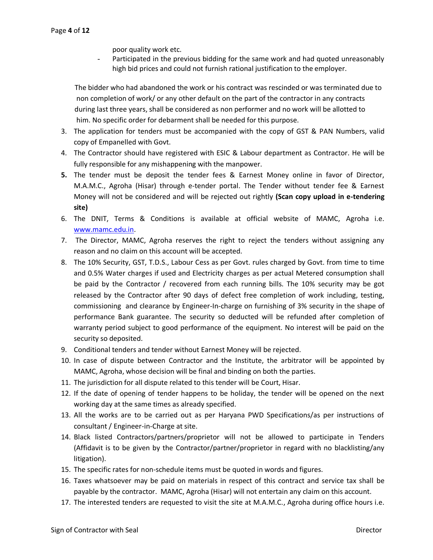poor quality work etc.

Participated in the previous bidding for the same work and had quoted unreasonably high bid prices and could not furnish rational justification to the employer.

 The bidder who had abandoned the work or his contract was rescinded or was terminated due to non completion of work/ or any other default on the part of the contractor in any contracts during last three years, shall be considered as non performer and no work will be allotted to him. No specific order for debarment shall be needed for this purpose.

- 3. The application for tenders must be accompanied with the copy of GST & PAN Numbers, valid copy of Empanelled with Govt.
- 4. The Contractor should have registered with ESIC & Labour department as Contractor. He will be fully responsible for any mishappening with the manpower.
- **5.** The tender must be deposit the tender fees & Earnest Money online in favor of Director, M.A.M.C., Agroha (Hisar) through e-tender portal. The Tender without tender fee & Earnest Money will not be considered and will be rejected out rightly **(Scan copy upload in e-tendering site)**
- 6. The DNIT, Terms & Conditions is available at official website of MAMC, Agroha i.e. [www.mamc.edu.in.](http://www.mamc.edu.in/)
- 7. The Director, MAMC, Agroha reserves the right to reject the tenders without assigning any reason and no claim on this account will be accepted.
- 8. The 10% Security, GST, T.D.S., Labour Cess as per Govt. rules charged by Govt. from time to time and 0.5% Water charges if used and Electricity charges as per actual Metered consumption shall be paid by the Contractor / recovered from each running bills. The 10% security may be got released by the Contractor after 90 days of defect free completion of work including, testing, commissioning and clearance by Engineer-In-charge on furnishing of 3% security in the shape of performance Bank guarantee. The security so deducted will be refunded after completion of warranty period subject to good performance of the equipment. No interest will be paid on the security so deposited.
- 9. Conditional tenders and tender without Earnest Money will be rejected.
- 10. In case of dispute between Contractor and the Institute, the arbitrator will be appointed by MAMC, Agroha, whose decision will be final and binding on both the parties.
- 11. The jurisdiction for all dispute related to this tender will be Court, Hisar.
- 12. If the date of opening of tender happens to be holiday, the tender will be opened on the next working day at the same times as already specified.
- 13. All the works are to be carried out as per Haryana PWD Specifications/as per instructions of consultant / Engineer-in-Charge at site.
- 14. Black listed Contractors/partners/proprietor will not be allowed to participate in Tenders (Affidavit is to be given by the Contractor/partner/proprietor in regard with no blacklisting/any litigation).
- 15. The specific rates for non-schedule items must be quoted in words and figures.
- 16. Taxes whatsoever may be paid on materials in respect of this contract and service tax shall be payable by the contractor. MAMC, Agroha (Hisar) will not entertain any claim on this account.
- 17. The interested tenders are requested to visit the site at M.A.M.C., Agroha during office hours i.e.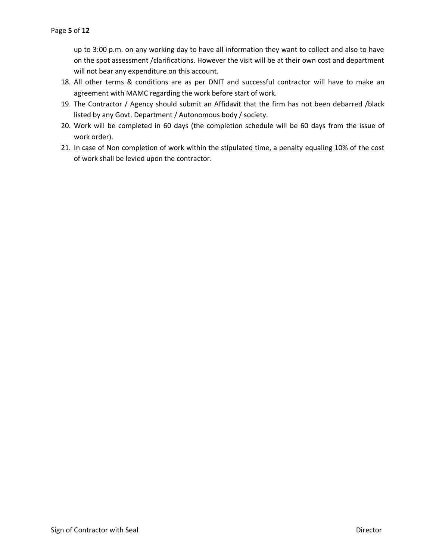up to 3:00 p.m. on any working day to have all information they want to collect and also to have on the spot assessment /clarifications. However the visit will be at their own cost and department will not bear any expenditure on this account.

- 18. All other terms & conditions are as per DNIT and successful contractor will have to make an agreement with MAMC regarding the work before start of work.
- 19. The Contractor / Agency should submit an Affidavit that the firm has not been debarred /black listed by any Govt. Department / Autonomous body / society.
- 20. Work will be completed in 60 days (the completion schedule will be 60 days from the issue of work order).
- 21. In case of Non completion of work within the stipulated time, a penalty equaling 10% of the cost of work shall be levied upon the contractor.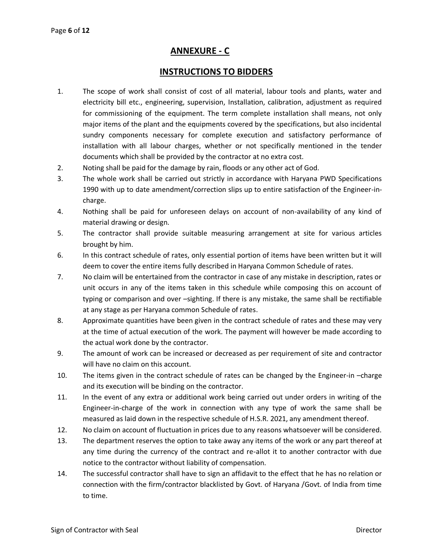### **ANNEXURE - C**

### **INSTRUCTIONS TO BIDDERS**

- 1. The scope of work shall consist of cost of all material, labour tools and plants, water and electricity bill etc., engineering, supervision, Installation, calibration, adjustment as required for commissioning of the equipment. The term complete installation shall means, not only major items of the plant and the equipments covered by the specifications, but also incidental sundry components necessary for complete execution and satisfactory performance of installation with all labour charges, whether or not specifically mentioned in the tender documents which shall be provided by the contractor at no extra cost.
- 2. Noting shall be paid for the damage by rain, floods or any other act of God.
- 3. The whole work shall be carried out strictly in accordance with Haryana PWD Specifications 1990 with up to date amendment/correction slips up to entire satisfaction of the Engineer-incharge.
- 4. Nothing shall be paid for unforeseen delays on account of non-availability of any kind of material drawing or design.
- 5. The contractor shall provide suitable measuring arrangement at site for various articles brought by him.
- 6. In this contract schedule of rates, only essential portion of items have been written but it will deem to cover the entire items fully described in Haryana Common Schedule of rates.
- 7. No claim will be entertained from the contractor in case of any mistake in description, rates or unit occurs in any of the items taken in this schedule while composing this on account of typing or comparison and over –sighting. If there is any mistake, the same shall be rectifiable at any stage as per Haryana common Schedule of rates.
- 8. Approximate quantities have been given in the contract schedule of rates and these may very at the time of actual execution of the work. The payment will however be made according to the actual work done by the contractor.
- 9. The amount of work can be increased or decreased as per requirement of site and contractor will have no claim on this account.
- 10. The items given in the contract schedule of rates can be changed by the Engineer-in –charge and its execution will be binding on the contractor.
- 11. In the event of any extra or additional work being carried out under orders in writing of the Engineer-in-charge of the work in connection with any type of work the same shall be measured as laid down in the respective schedule of H.S.R. 2021, any amendment thereof.
- 12. No claim on account of fluctuation in prices due to any reasons whatsoever will be considered.
- 13. The department reserves the option to take away any items of the work or any part thereof at any time during the currency of the contract and re-allot it to another contractor with due notice to the contractor without liability of compensation.
- 14. The successful contractor shall have to sign an affidavit to the effect that he has no relation or connection with the firm/contractor blacklisted by Govt. of Haryana /Govt. of India from time to time.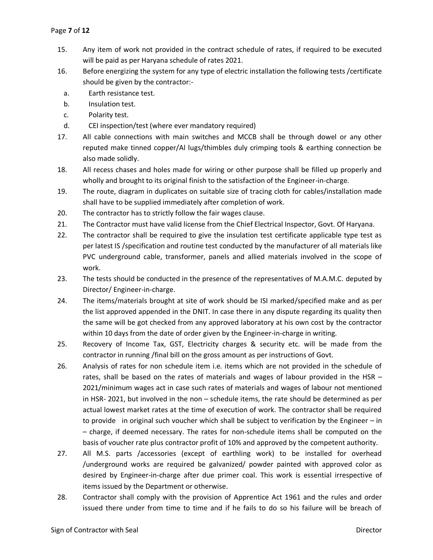- 15. Any item of work not provided in the contract schedule of rates, if required to be executed will be paid as per Haryana schedule of rates 2021.
- 16. Before energizing the system for any type of electric installation the following tests /certificate should be given by the contractor:
	- a. Earth resistance test.
	- b. Insulation test.
	- c. Polarity test.
	- d. CEI inspection/test (where ever mandatory required)
- 17. All cable connections with main switches and MCCB shall be through dowel or any other reputed make tinned copper/Al lugs/thimbles duly crimping tools & earthing connection be also made solidly.
- 18. All recess chases and holes made for wiring or other purpose shall be filled up properly and wholly and brought to its original finish to the satisfaction of the Engineer-in-charge.
- 19. The route, diagram in duplicates on suitable size of tracing cloth for cables/installation made shall have to be supplied immediately after completion of work.
- 20. The contractor has to strictly follow the fair wages clause.
- 21. The Contractor must have valid license from the Chief Electrical Inspector, Govt. Of Haryana.
- 22. The contractor shall be required to give the insulation test certificate applicable type test as per latest IS /specification and routine test conducted by the manufacturer of all materials like PVC underground cable, transformer, panels and allied materials involved in the scope of work.
- 23. The tests should be conducted in the presence of the representatives of M.A.M.C. deputed by Director/ Engineer-in-charge.
- 24. The items/materials brought at site of work should be ISI marked/specified make and as per the list approved appended in the DNIT. In case there in any dispute regarding its quality then the same will be got checked from any approved laboratory at his own cost by the contractor within 10 days from the date of order given by the Engineer-in-charge in writing.
- 25. Recovery of Income Tax, GST, Electricity charges & security etc. will be made from the contractor in running /final bill on the gross amount as per instructions of Govt.
- 26. Analysis of rates for non schedule item i.e. items which are not provided in the schedule of rates, shall be based on the rates of materials and wages of labour provided in the HSR – 2021/minimum wages act in case such rates of materials and wages of labour not mentioned in HSR- 2021, but involved in the non – schedule items, the rate should be determined as per actual lowest market rates at the time of execution of work. The contractor shall be required to provide in original such voucher which shall be subject to verification by the Engineer – in – charge, if deemed necessary. The rates for non-schedule items shall be computed on the basis of voucher rate plus contractor profit of 10% and approved by the competent authority.
- 27. All M.S. parts /accessories (except of earthling work) to be installed for overhead /underground works are required be galvanized/ powder painted with approved color as desired by Engineer-in-charge after due primer coal. This work is essential irrespective of items issued by the Department or otherwise.
- 28. Contractor shall comply with the provision of Apprentice Act 1961 and the rules and order issued there under from time to time and if he fails to do so his failure will be breach of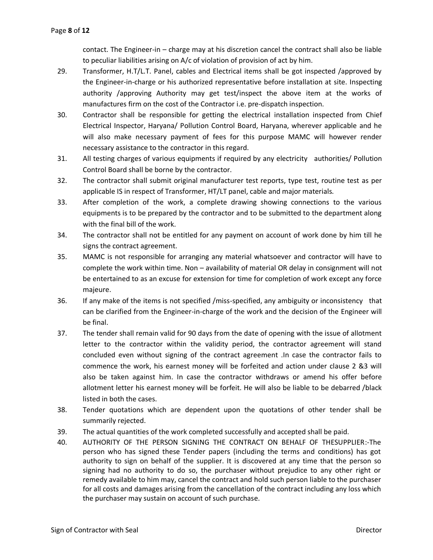contact. The Engineer-in – charge may at his discretion cancel the contract shall also be liable to peculiar liabilities arising on A/c of violation of provision of act by him.

- 29. Transformer, H.T/L.T. Panel, cables and Electrical items shall be got inspected /approved by the Engineer-in-charge or his authorized representative before installation at site. Inspecting authority /approving Authority may get test/inspect the above item at the works of manufactures firm on the cost of the Contractor i.e. pre-dispatch inspection.
- 30. Contractor shall be responsible for getting the electrical installation inspected from Chief Electrical Inspector, Haryana/ Pollution Control Board, Haryana, wherever applicable and he will also make necessary payment of fees for this purpose MAMC will however render necessary assistance to the contractor in this regard.
- 31. All testing charges of various equipments if required by any electricity authorities/ Pollution Control Board shall be borne by the contractor.
- 32. The contractor shall submit original manufacturer test reports, type test, routine test as per applicable IS in respect of Transformer, HT/LT panel, cable and major materials.
- 33. After completion of the work, a complete drawing showing connections to the various equipments is to be prepared by the contractor and to be submitted to the department along with the final bill of the work.
- 34. The contractor shall not be entitled for any payment on account of work done by him till he signs the contract agreement.
- 35. MAMC is not responsible for arranging any material whatsoever and contractor will have to complete the work within time. Non – availability of material OR delay in consignment will not be entertained to as an excuse for extension for time for completion of work except any force majeure.
- 36. If any make of the items is not specified /miss-specified, any ambiguity or inconsistency that can be clarified from the Engineer-in-charge of the work and the decision of the Engineer will be final.
- 37. The tender shall remain valid for 90 days from the date of opening with the issue of allotment letter to the contractor within the validity period, the contractor agreement will stand concluded even without signing of the contract agreement .In case the contractor fails to commence the work, his earnest money will be forfeited and action under clause 2 &3 will also be taken against him. In case the contractor withdraws or amend his offer before allotment letter his earnest money will be forfeit. He will also be liable to be debarred /black listed in both the cases.
- 38. Tender quotations which are dependent upon the quotations of other tender shall be summarily rejected.
- 39. The actual quantities of the work completed successfully and accepted shall be paid.
- 40. AUTHORITY OF THE PERSON SIGNING THE CONTRACT ON BEHALF OF THESUPPLIER:-The person who has signed these Tender papers (including the terms and conditions) has got authority to sign on behalf of the supplier. It is discovered at any time that the person so signing had no authority to do so, the purchaser without prejudice to any other right or remedy available to him may, cancel the contract and hold such person liable to the purchaser for all costs and damages arising from the cancellation of the contract including any loss which the purchaser may sustain on account of such purchase.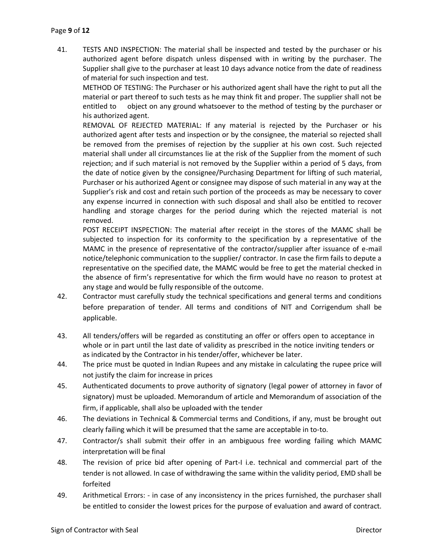41. TESTS AND INSPECTION: The material shall be inspected and tested by the purchaser or his authorized agent before dispatch unless dispensed with in writing by the purchaser. The Supplier shall give to the purchaser at least 10 days advance notice from the date of readiness of material for such inspection and test.

METHOD OF TESTING: The Purchaser or his authorized agent shall have the right to put all the material or part thereof to such tests as he may think fit and proper. The supplier shall not be entitled to object on any ground whatsoever to the method of testing by the purchaser or his authorized agent.

REMOVAL OF REJECTED MATERIAL: If any material is rejected by the Purchaser or his authorized agent after tests and inspection or by the consignee, the material so rejected shall be removed from the premises of rejection by the supplier at his own cost. Such rejected material shall under all circumstances lie at the risk of the Supplier from the moment of such rejection; and if such material is not removed by the Supplier within a period of 5 days, from the date of notice given by the consignee/Purchasing Department for lifting of such material, Purchaser or his authorized Agent or consignee may dispose of such material in any way at the Supplier's risk and cost and retain such portion of the proceeds as may be necessary to cover any expense incurred in connection with such disposal and shall also be entitled to recover handling and storage charges for the period during which the rejected material is not removed.

POST RECEIPT INSPECTION: The material after receipt in the stores of the MAMC shall be subjected to inspection for its conformity to the specification by a representative of the MAMC in the presence of representative of the contractor/supplier after issuance of e-mail notice/telephonic communication to the supplier/ contractor. In case the firm fails to depute a representative on the specified date, the MAMC would be free to get the material checked in the absence of firm's representative for which the firm would have no reason to protest at any stage and would be fully responsible of the outcome.

- 42. Contractor must carefully study the technical specifications and general terms and conditions before preparation of tender. All terms and conditions of NIT and Corrigendum shall be applicable.
- 43. All tenders/offers will be regarded as constituting an offer or offers open to acceptance in whole or in part until the last date of validity as prescribed in the notice inviting tenders or as indicated by the Contractor in his tender/offer, whichever be later.
- 44. The price must be quoted in Indian Rupees and any mistake in calculating the rupee price will not justify the claim for increase in prices
- 45. Authenticated documents to prove authority of signatory (legal power of attorney in favor of signatory) must be uploaded. Memorandum of article and Memorandum of association of the firm, if applicable, shall also be uploaded with the tender
- 46. The deviations in Technical & Commercial terms and Conditions, if any, must be brought out clearly failing which it will be presumed that the same are acceptable in to-to.
- 47. Contractor/s shall submit their offer in an ambiguous free wording failing which MAMC interpretation will be final
- 48. The revision of price bid after opening of Part-I i.e. technical and commercial part of the tender is not allowed. In case of withdrawing the same within the validity period, EMD shall be forfeited
- 49. Arithmetical Errors: in case of any inconsistency in the prices furnished, the purchaser shall be entitled to consider the lowest prices for the purpose of evaluation and award of contract.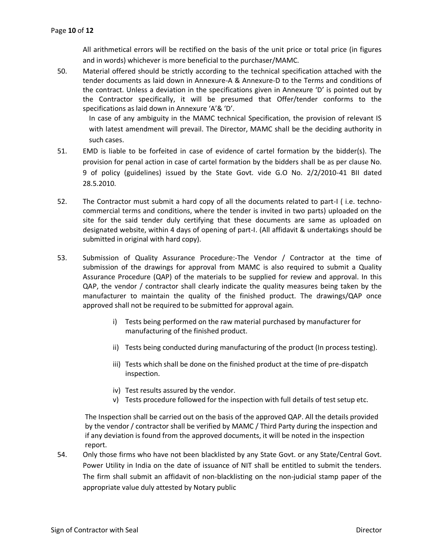All arithmetical errors will be rectified on the basis of the unit price or total price (in figures and in words) whichever is more beneficial to the purchaser/MAMC.

50. Material offered should be strictly according to the technical specification attached with the tender documents as laid down in Annexure-A & Annexure-D to the Terms and conditions of the contract. Unless a deviation in the specifications given in Annexure 'D' is pointed out by the Contractor specifically, it will be presumed that Offer/tender conforms to the specifications as laid down in Annexure 'A'& 'D'.

In case of any ambiguity in the MAMC technical Specification, the provision of relevant IS with latest amendment will prevail. The Director, MAMC shall be the deciding authority in such cases.

- 51. EMD is liable to be forfeited in case of evidence of cartel formation by the bidder(s). The provision for penal action in case of cartel formation by the bidders shall be as per clause No. 9 of policy (guidelines) issued by the State Govt. vide G.O No. 2/2/2010-41 BII dated 28.5.2010.
- 52. The Contractor must submit a hard copy of all the documents related to part-I ( i.e. technocommercial terms and conditions, where the tender is invited in two parts) uploaded on the site for the said tender duly certifying that these documents are same as uploaded on designated website, within 4 days of opening of part-I. (All affidavit & undertakings should be submitted in original with hard copy).
- 53. Submission of Quality Assurance Procedure:-The Vendor / Contractor at the time of submission of the drawings for approval from MAMC is also required to submit a Quality Assurance Procedure (QAP) of the materials to be supplied for review and approval. In this QAP, the vendor / contractor shall clearly indicate the quality measures being taken by the manufacturer to maintain the quality of the finished product. The drawings/QAP once approved shall not be required to be submitted for approval again.
	- i) Tests being performed on the raw material purchased by manufacturer for manufacturing of the finished product.
	- ii) Tests being conducted during manufacturing of the product (In process testing).
	- iii) Tests which shall be done on the finished product at the time of pre-dispatch inspection.
	- iv) Test results assured by the vendor.
	- v) Tests procedure followed for the inspection with full details of test setup etc.

 The Inspection shall be carried out on the basis of the approved QAP. All the details provided by the vendor / contractor shall be verified by MAMC / Third Party during the inspection and if any deviation is found from the approved documents, it will be noted in the inspection report.

54. Only those firms who have not been blacklisted by any State Govt. or any State/Central Govt. Power Utility in India on the date of issuance of NIT shall be entitled to submit the tenders. The firm shall submit an affidavit of non-blacklisting on the non-judicial stamp paper of the appropriate value duly attested by Notary public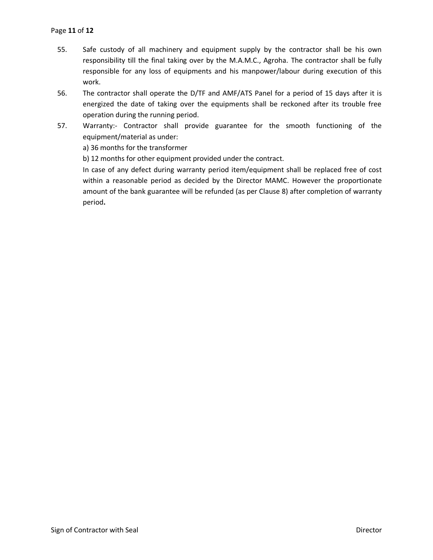- 55. Safe custody of all machinery and equipment supply by the contractor shall be his own responsibility till the final taking over by the M.A.M.C., Agroha. The contractor shall be fully responsible for any loss of equipments and his manpower/labour during execution of this work.
- 56. The contractor shall operate the D/TF and AMF/ATS Panel for a period of 15 days after it is energized the date of taking over the equipments shall be reckoned after its trouble free operation during the running period.
- 57. Warranty:- Contractor shall provide guarantee for the smooth functioning of the equipment/material as under:

a) 36 months for the transformer

b) 12 months for other equipment provided under the contract.

In case of any defect during warranty period item/equipment shall be replaced free of cost within a reasonable period as decided by the Director MAMC. However the proportionate amount of the bank guarantee will be refunded (as per Clause 8) after completion of warranty period**.**